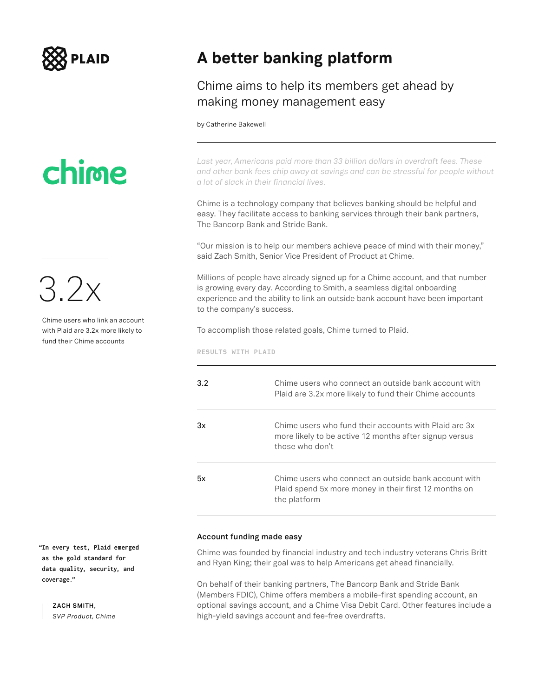

# chime

Chime users who link an account with Plaid are 3.2x more likely to fund their Chime accounts

3.2x

**A better banking platform**

### Chime aims to help its members get ahead by making money management easy

by Catherine Bakewell

*Last year, Americans paid more than 33 billion dollars in overdraft fees. These and other bank fees chip away at savings and can be stressful for people without a lot of slack in their financial lives.*

Chime is a technology company that believes banking should be helpful and easy. They facilitate access to banking services through their bank partners, The Bancorp Bank and Stride Bank.

"Our mission is to help our members achieve peace of mind with their money," said Zach Smith, Senior Vice President of Product at Chime.

Millions of people have already signed up for a Chime account, and that number is growing every day. According to Smith, a seamless digital onboarding experience and the ability to link an outside bank account have been important to the company's success.

To accomplish those related goals, Chime turned to Plaid.

**RESULTS WITH PLAID**

| 3.2 | Chime users who connect an outside bank account with<br>Plaid are 3.2x more likely to fund their Chime accounts                    |
|-----|------------------------------------------------------------------------------------------------------------------------------------|
| 3x  | Chime users who fund their accounts with Plaid are 3x<br>more likely to be active 12 months after signup versus<br>those who don't |
| 5x  | Chime users who connect an outside bank account with<br>Plaid spend 5x more money in their first 12 months on<br>the platform      |

#### **Account funding made easy**

Chime was founded by financial industry and tech industry veterans Chris Britt and Ryan King; their goal was to help Americans get ahead financially.

On behalf of their banking partners, The Bancorp Bank and Stride Bank (Members FDIC), Chime offers members a mobile-first spending account, an optional savings account, and a Chime Visa Debit Card. Other features include a high-yield savings account and fee-free overdrafts.

**"In every test, Plaid emerged as the gold standard for data quality, security, and coverage."**

> **ZACH SMITH,**  *SVP Product, Chime*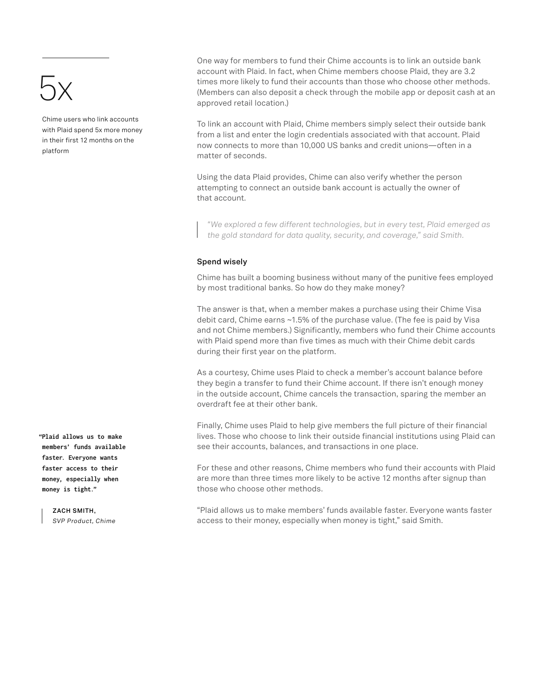### 5x

Chime users who link accounts with Plaid spend 5x more money in their first 12 months on the platform

One way for members to fund their Chime accounts is to link an outside bank account with Plaid. In fact, when Chime members choose Plaid, they are 3.2 times more likely to fund their accounts than those who choose other methods. (Members can also deposit a check through the mobile app or deposit cash at an approved retail location.)

To link an account with Plaid, Chime members simply select their outside bank from a list and enter the login credentials associated with that account. Plaid now connects to more than 10,000 US banks and credit unions—often in a matter of seconds.

Using the data Plaid provides, Chime can also verify whether the person attempting to connect an outside bank account is actually the owner of that account.

*"We explored a few different technologies, but in every test, Plaid emerged as the gold standard for data quality, security, and coverage," said Smith.*

### **Spend wisely**

Chime has built a booming business without many of the punitive fees employed by most traditional banks. So how do they make money?

The answer is that, when a member makes a purchase using their Chime Visa debit card, Chime earns ~1.5% of the purchase value. (The fee is paid by Visa and not Chime members.) Significantly, members who fund their Chime accounts with Plaid spend more than five times as much with their Chime debit cards during their first year on the platform.

As a courtesy, Chime uses Plaid to check a member's account balance before they begin a transfer to fund their Chime account. If there isn't enough money in the outside account, Chime cancels the transaction, sparing the member an overdraft fee at their other bank.

Finally, Chime uses Plaid to help give members the full picture of their financial lives. Those who choose to link their outside financial institutions using Plaid can see their accounts, balances, and transactions in one place.

For these and other reasons, Chime members who fund their accounts with Plaid are more than three times more likely to be active 12 months after signup than those who choose other methods.

"Plaid allows us to make members' funds available faster. Everyone wants faster access to their money, especially when money is tight," said Smith.

**"Plaid allows us to make members' funds available faster. Everyone wants faster access to their money, especially when money is tight."**

> **ZACH SMITH,**  *SVP Product, Chime*